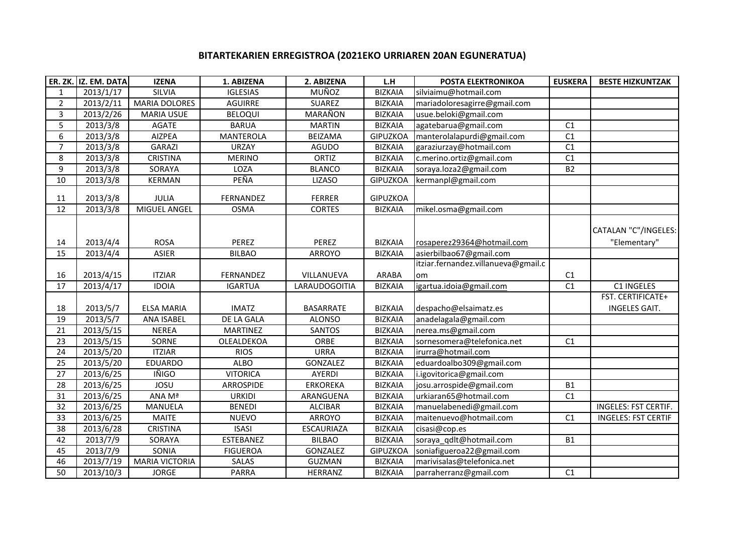## **BITARTEKARIEN ERREGISTROA (2021EKO URRIAREN 20AN EGUNERATUA)**

|                | ER. ZK. IZ. EM. DATA   | <b>IZENA</b>          | 1. ABIZENA       | 2. ABIZENA        | L.H             | POSTA ELEKTRONIKOA                  | <b>EUSKERA</b> | <b>BESTE HIZKUNTZAK</b>              |
|----------------|------------------------|-----------------------|------------------|-------------------|-----------------|-------------------------------------|----------------|--------------------------------------|
| $\mathbf{1}$   | 2013/1/17              | SILVIA                | <b>IGLESIAS</b>  | MUÑOZ             | <b>BIZKAIA</b>  | silviaimu@hotmail.com               |                |                                      |
| $\overline{2}$ | 2013/2/11              | <b>MARIA DOLORES</b>  | <b>AGUIRRE</b>   | <b>SUAREZ</b>     | <b>BIZKAIA</b>  | mariadoloresagirre@gmail.com        |                |                                      |
| 3              | 2013/2/26              | <b>MARIA USUE</b>     | <b>BELOQUI</b>   | MARAÑON           | <b>BIZKAIA</b>  | usue.beloki@gmail.com               |                |                                      |
| 5              | 2013/3/8               | <b>AGATE</b>          | <b>BARUA</b>     | <b>MARTIN</b>     | <b>BIZKAIA</b>  | agatebarua@gmail.com                | C1             |                                      |
| 6              | 2013/3/8               | <b>AIZPEA</b>         | <b>MANTEROLA</b> | <b>BEIZAMA</b>    | <b>GIPUZKOA</b> | manterolalapurdi@gmail.com          | C1             |                                      |
| $\overline{7}$ | 2013/3/8               | <b>GARAZI</b>         | <b>URZAY</b>     | <b>AGUDO</b>      | <b>BIZKAIA</b>  | garaziurzay@hotmail.com             | C1             |                                      |
| 8              | 2013/3/8               | <b>CRISTINA</b>       | <b>MERINO</b>    | ORTIZ             | <b>BIZKAIA</b>  | c.merino.ortiz@gmail.com            | C1             |                                      |
| 9              | 2013/3/8               | SORAYA                | LOZA             | <b>BLANCO</b>     | <b>BIZKAIA</b>  | soraya.loza2@gmail.com              | <b>B2</b>      |                                      |
| 10             | 2013/3/8               | <b>KERMAN</b>         | PEÑA             | <b>LIZASO</b>     | <b>GIPUZKOA</b> | kermanpl@gmail.com                  |                |                                      |
| 11             | 2013/3/8               | JULIA                 | FERNANDEZ        | FERRER            | <b>GIPUZKOA</b> |                                     |                |                                      |
| 12             | 2013/3/8               | MIGUEL ANGEL          | <b>OSMA</b>      | <b>CORTES</b>     | <b>BIZKAIA</b>  | mikel.osma@gmail.com                |                |                                      |
| 14             | 2013/4/4               | <b>ROSA</b>           | PEREZ            | PEREZ             | <b>BIZKAIA</b>  | rosaperez29364@hotmail.com          |                | CATALAN "C"/INGELES:<br>"Elementary" |
| 15             | 2013/4/4               | <b>ASIER</b>          | <b>BILBAO</b>    | ARROYO            | <b>BIZKAIA</b>  | asierbilbao67@gmail.com             |                |                                      |
|                |                        |                       |                  |                   |                 | itziar.fernandez.villanueva@gmail.c |                |                                      |
| 16             | 2013/4/15              | <b>ITZIAR</b>         | FERNANDEZ        | VILLANUEVA        | <b>ARABA</b>    | om                                  | C1             |                                      |
| 17             | 2013/4/17              | <b>IDOIA</b>          | <b>IGARTUA</b>   | LARAUDOGOITIA     | <b>BIZKAIA</b>  | igartua.idoia@gmail.com             | C1             | C1 INGELES                           |
| 18             | 2013/5/7               | <b>ELSA MARIA</b>     | <b>IMATZ</b>     | <b>BASARRATE</b>  | <b>BIZKAIA</b>  | despacho@elsaimatz.es               |                | FST. CERTIFICATE+<br>INGELES GAIT.   |
| 19             | 2013/5/7               | ANA ISABEL            | DE LA GALA       | <b>ALONSO</b>     | <b>BIZKAIA</b>  | anadelagala@gmail.com               |                |                                      |
| 21             | 2013/5/15              | <b>NEREA</b>          | <b>MARTINEZ</b>  | SANTOS            | <b>BIZKAIA</b>  | nerea.ms@gmail.com                  |                |                                      |
| 23             | 2013/5/15              | SORNE                 | OLEALDEKOA       | ORBE              | <b>BIZKAIA</b>  | sornesomera@telefonica.net          | C1             |                                      |
| 24             | 2013/5/20              | <b>ITZIAR</b>         | <b>RIOS</b>      | <b>URRA</b>       | <b>BIZKAIA</b>  | irurra@hotmail.com                  |                |                                      |
| 25             | 2013/5/20              | EDUARDO               | <b>ALBO</b>      | GONZALEZ          | <b>BIZKAIA</b>  | eduardoalbo309@gmail.com            |                |                                      |
| 27             | 2013/6/25              | IÑIGO                 | <b>VITORICA</b>  | <b>AYERDI</b>     | <b>BIZKAIA</b>  | i.igovitorica@gmail.com             |                |                                      |
| 28             | 2013/6/25              | JOSU                  | ARROSPIDE        | <b>ERKOREKA</b>   | <b>BIZKAIA</b>  | josu.arrospide@gmail.com            | <b>B1</b>      |                                      |
| 31             | $\overline{2013}/6/25$ | ANA Mª                | <b>URKIDI</b>    | ARANGUENA         | <b>BIZKAIA</b>  | urkiaran65@hotmail.com              | C1             |                                      |
| 32             | $\overline{2013/6/25}$ | <b>MANUELA</b>        | <b>BENEDI</b>    | <b>ALCIBAR</b>    | <b>BIZKAIA</b>  | manuelabenedi@gmail.com             |                | <b>INGELES: FST CERTIF.</b>          |
| 33             | $\overline{2013/6}/25$ | <b>MAITE</b>          | <b>NUEVO</b>     | ARROYO            | <b>BIZKAIA</b>  | maitenuevo@hotmail.com              | C1             | <b>INGELES: FST CERTIF</b>           |
| 38             | $\overline{2013}/6/28$ | <b>CRISTINA</b>       | <b>ISASI</b>     | <b>ESCAURIAZA</b> | <b>BIZKAIA</b>  | cisasi@cop.es                       |                |                                      |
| 42             | 2013/7/9               | SORAYA                | ESTEBANEZ        | <b>BILBAO</b>     | <b>BIZKAIA</b>  | soraya qdlt@hotmail.com             | <b>B1</b>      |                                      |
| 45             | 2013/7/9               | SONIA                 | <b>FIGUEROA</b>  | <b>GONZALEZ</b>   | <b>GIPUZKOA</b> | soniafigueroa22@gmail.com           |                |                                      |
| 46             | 2013/7/19              | <b>MARIA VICTORIA</b> | SALAS            | <b>GUZMAN</b>     | <b>BIZKAIA</b>  | marivisalas@telefonica.net          |                |                                      |
| 50             | 2013/10/3              | <b>JORGE</b>          | <b>PARRA</b>     | HERRANZ           | <b>BIZKAIA</b>  | parraherranz@gmail.com              | C1             |                                      |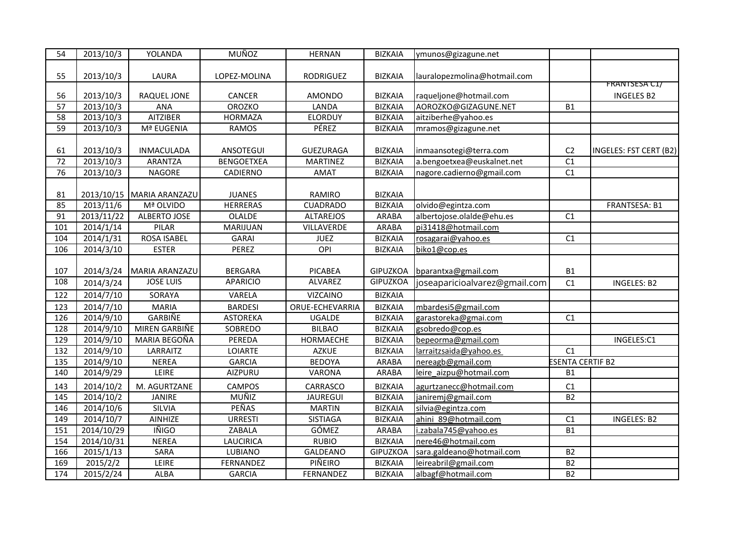| 55<br>2013/10/3<br>LAURA<br><b>BIZKAIA</b><br>lauralopezmolina@hotmail.com<br>LOPEZ-MOLINA<br>RODRIGUEZ                                                   |                                    |
|-----------------------------------------------------------------------------------------------------------------------------------------------------------|------------------------------------|
| 56<br>2013/10/3<br>RAQUEL JONE<br>CANCER<br><b>AMONDO</b><br><b>BIZKAIA</b><br>raqueljone@hotmail.com                                                     | FRANTSESA C1/<br><b>INGELES B2</b> |
| 57<br>2013/10/3<br>ANA<br><b>OROZKO</b><br><b>BIZKAIA</b><br>AOROZKO@GIZAGUNE.NET<br>LANDA<br><b>B1</b>                                                   |                                    |
|                                                                                                                                                           |                                    |
| 2013/10/3<br>58<br><b>AITZIBER</b><br><b>HORMAZA</b><br><b>ELORDUY</b><br><b>BIZKAIA</b><br>aitziberhe@yahoo.es                                           |                                    |
| 59<br>2013/10/3<br>Mª EUGENIA<br>PÉREZ<br><b>RAMOS</b><br><b>BIZKAIA</b><br>mramos@gizagune.net                                                           |                                    |
|                                                                                                                                                           |                                    |
| 2013/10/3<br><b>INMACULADA</b><br>ANSOTEGUI<br>GUEZURAGA<br><b>BIZKAIA</b><br>inmaansotegi@terra.com<br>C <sub>2</sub><br>61                              | INGELES: FST CERT (B2)             |
| $\overline{72}$<br>2013/10/3<br><b>BIZKAIA</b><br>$\overline{C1}$<br><b>ARANTZA</b><br><b>BENGOETXEA</b><br><b>MARTINEZ</b><br>a.bengoetxea@euskalnet.net |                                    |
| 76<br>2013/10/3<br>NAGORE<br><b>BIZKAIA</b><br>nagore.cadierno@gmail.com<br>C1<br>CADIERNO<br><b>AMAT</b>                                                 |                                    |
|                                                                                                                                                           |                                    |
| 2013/10/15 MARIA ARANZAZU<br>RAMIRO<br><b>BIZKAIA</b><br>81<br><b>JUANES</b>                                                                              |                                    |
| 2013/11/6<br><b>HERRERAS</b><br>85<br>Mª OLVIDO<br><b>CUADRADO</b><br><b>BIZKAIA</b><br>olvido@egintza.com                                                | FRANTSESA: B1                      |
| 2013/11/22<br>91<br>ALBERTO JOSE<br>OLALDE<br><b>ALTAREJOS</b><br><b>ARABA</b><br>albertojose.olalde@ehu.es<br>C1                                         |                                    |
| 2014/1/14<br>pi31418@hotmail.com<br>101<br>PILAR<br>MARIJUAN<br>VILLAVERDE<br>ARABA                                                                       |                                    |
| 2014/1/31<br><b>ROSA ISABEL</b><br>104<br><b>GARAI</b><br><b>JUEZ</b><br><b>BIZKAIA</b><br>C1<br>rosagarai@yahoo.es                                       |                                    |
| 2014/3/10<br>106<br>PEREZ<br>OPI<br><b>BIZKAIA</b><br><b>ESTER</b><br>biko1@cop.es                                                                        |                                    |
|                                                                                                                                                           |                                    |
| 2014/3/24<br>GIPUZKOA<br>107<br>MARIA ARANZAZU<br><b>BERGARA</b><br><b>PICABEA</b><br>bparantxa@gmail.com<br><b>B1</b>                                    |                                    |
| 108<br><b>JOSE LUIS</b><br><b>APARICIO</b><br>ALVAREZ<br><b>GIPUZKOA</b><br>joseaparicioalvarez@gmail.com<br>2014/3/24<br>C1                              | <b>INGELES: B2</b>                 |
| 2014/7/10<br>122<br>SORAYA<br><b>BIZKAIA</b><br>VARELA<br><b>VIZCAINO</b>                                                                                 |                                    |
| 2014/7/10<br><b>MARIA</b><br>123<br><b>BARDESI</b><br>ORUE-ECHEVARRIA<br><b>BIZKAIA</b><br>mbardesi5@gmail.com                                            |                                    |
| <b>GARBIÑE</b><br>126<br>2014/9/10<br><b>ASTOREKA</b><br><b>BIZKAIA</b><br>C1<br><b>UGALDE</b><br>garastoreka@gmai.com                                    |                                    |
| 2014/9/10<br>MIREN GARBIÑE<br><b>BIZKAIA</b><br>128<br><b>SOBREDO</b><br><b>BILBAO</b><br>gsobredo@cop.es                                                 |                                    |
| 2014/9/10<br>129<br>MARIA BEGOÑA<br>PEREDA<br>HORMAECHE<br><b>BIZKAIA</b><br>bepeorma@gmail.com                                                           | INGELES:C1                         |
| 2014/9/10<br>132<br>LARRAITZ<br>LOIARTE<br><b>AZKUE</b><br><b>BIZKAIA</b><br>larraitzsaida@yahoo.es<br>C1                                                 |                                    |
| $\frac{135}{ }$<br>2014/9/10<br><b>NEREA</b><br><b>BEDOYA</b><br>nereagb@gmail.com<br><b>GARCIA</b><br>ARABA                                              | <b>ESENTA CERTIF B2</b>            |
| 140<br>leire aizpu@hotmail.com<br>2014/9/29<br>LEIRE<br><b>AIZPURU</b><br>VARONA<br><b>ARABA</b><br><b>B1</b>                                             |                                    |
| 2014/10/2<br>M. AGURTZANE<br>143<br><b>CAMPOS</b><br>CARRASCO<br><b>BIZKAIA</b><br>C1<br>agurtzanecc@hotmail.com                                          |                                    |
| 2014/10/2<br><b>MUÑIZ</b><br>145<br><b>JANIRE</b><br><b>BIZKAIA</b><br>janiremj@gmail.com<br>B <sub>2</sub><br>JAUREGUI                                   |                                    |
| <b>PEÑAS</b><br><b>SILVIA</b><br>146<br>2014/10/6<br><b>MARTIN</b><br><b>BIZKAIA</b><br>silvia@egintza.com                                                |                                    |
| 149<br>2014/10/7<br>AINHIZE<br><b>URRESTI</b><br><b>BIZKAIA</b><br>ahini 89@hotmail.com<br><b>SISTIAGA</b><br>C1                                          | <b>INGELES: B2</b>                 |
| <b>IÑIGO</b><br>151<br>$\overline{2014}/10/29$<br>ZABALA<br>GÓMEZ<br><b>ARABA</b><br><b>B1</b><br>.zabala745@yahoo.es                                     |                                    |
| 154<br>2014/10/31<br><b>NEREA</b><br>LAUCIRICA<br><b>RUBIO</b><br><b>BIZKAIA</b><br>nere46@hotmail.com                                                    |                                    |
| SARA<br>166<br>2015/1/13<br><b>LUBIANO</b><br>GALDEANO<br><b>GIPUZKOA</b><br>sara.galdeano@hotmail.com<br><b>B2</b>                                       |                                    |
| LEIRE<br>PIÑEIRO<br>leireabril@gmail.com<br>169<br>2015/2/2<br>FERNANDEZ<br><b>BIZKAIA</b><br>B <sub>2</sub>                                              |                                    |
| B <sub>2</sub><br>174<br>2015/2/24<br><b>ALBA</b><br><b>BIZKAIA</b><br>albagf@hotmail.com<br><b>GARCIA</b><br>FERNANDEZ                                   |                                    |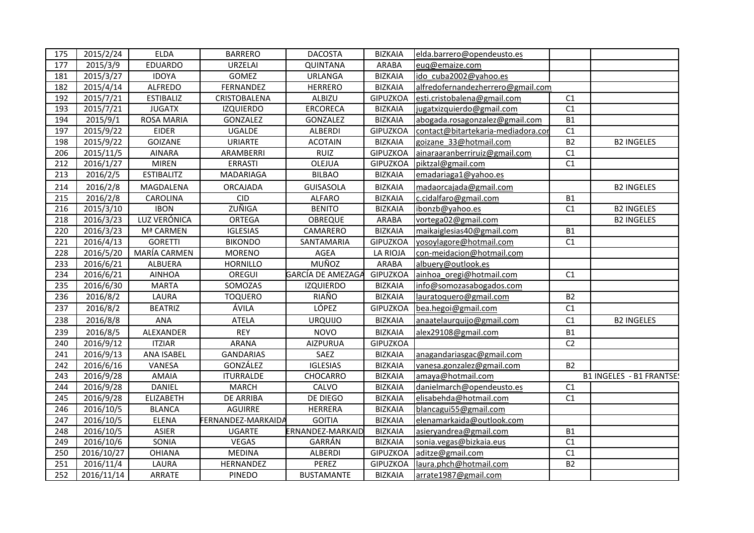| 175 | 2015/2/24  | <b>ELDA</b>       | <b>BARRERO</b>     | <b>DACOSTA</b>    | <b>BIZKAIA</b>  | elda.barrero@opendeusto.es         |                |                          |
|-----|------------|-------------------|--------------------|-------------------|-----------------|------------------------------------|----------------|--------------------------|
| 177 | 2015/3/9   | EDUARDO           | <b>URZELAI</b>     | QUINTANA          | ARABA           | euq@emaize.com                     |                |                          |
| 181 | 2015/3/27  | <b>IDOYA</b>      | GOMEZ              | URLANGA           | <b>BIZKAIA</b>  | ido cuba2002@yahoo.es              |                |                          |
| 182 | 2015/4/14  | <b>ALFREDO</b>    | FERNANDEZ          | <b>HERRERO</b>    | <b>BIZKAIA</b>  | alfredofernandezherrero@gmail.com  |                |                          |
| 192 | 2015/7/21  | <b>ESTIBALIZ</b>  | CRISTOBALENA       | ALBIZU            | <b>GIPUZKOA</b> | esti.cristobalena@gmail.com        | C1             |                          |
| 193 | 2015/7/21  | <b>JUGATX</b>     | <b>IZQUIERDO</b>   | ERCORECA          | <b>BIZKAIA</b>  | jugatxizquierdo@gmail.com          | C1             |                          |
| 194 | 2015/9/1   | ROSA MARIA        | GONZALEZ           | GONZALEZ          | <b>BIZKAIA</b>  | abogada.rosagonzalez@gmail.com     | <b>B1</b>      |                          |
| 197 | 2015/9/22  | <b>EIDER</b>      | UGALDE             | ALBERDI           | <b>GIPUZKOA</b> | contact@bitartekaria-mediadora.cor | C1             |                          |
| 198 | 2015/9/22  | <b>GOIZANE</b>    | URIARTE            | <b>ACOTAIN</b>    | <b>BIZKAIA</b>  | goizane 33@hotmail.com             | <b>B2</b>      | <b>B2 INGELES</b>        |
| 206 | 2015/11/5  | <b>AINARA</b>     | ARAMBERRI          | <b>RUIZ</b>       | <b>GIPUZKOA</b> | ainaraaranberriruiz@gmail.com      | C1             |                          |
| 212 | 2016/1/27  | <b>MIREN</b>      | ERRASTI            | OLEJUA            | <b>GIPUZKOA</b> | piktzal@gmail.com                  | C1             |                          |
| 213 | 2016/2/5   | <b>ESTIBALITZ</b> | MADARIAGA          | <b>BILBAO</b>     | <b>BIZKAIA</b>  | emadariaga1@yahoo.es               |                |                          |
| 214 | 2016/2/8   | MAGDALENA         | <b>ORCAJADA</b>    | <b>GUISASOLA</b>  | <b>BIZKAIA</b>  | madaorcajada@gmail.com             |                | <b>B2 INGELES</b>        |
| 215 | 2016/2/8   | CAROLINA          | <b>CID</b>         | <b>ALFARO</b>     | <b>BIZKAIA</b>  | c.cidalfaro@gmail.com              | <b>B1</b>      |                          |
| 216 | 2015/3/10  | <b>IBON</b>       | ZUÑIGA             | <b>BENITO</b>     | <b>BIZKAIA</b>  | ibonzb@yahoo.es                    | C1             | <b>B2 INGELES</b>        |
| 218 | 2016/3/23  | LUZ VERÓNICA      | ORTEGA             | <b>OBREQUE</b>    | ARABA           | vortega02@gmail.com                |                | <b>B2 INGELES</b>        |
| 220 | 2016/3/23  | Mª CARMEN         | <b>IGLESIAS</b>    | CAMARERO          | <b>BIZKAIA</b>  | maikaiglesias40@gmail.com          | <b>B1</b>      |                          |
| 221 | 2016/4/13  | <b>GORETTI</b>    | <b>BIKONDO</b>     | SANTAMARIA        | <b>GIPUZKOA</b> | yosoylagore@hotmail.com            | C1             |                          |
| 228 | 2016/5/20  | MARÍA CARMEN      | <b>MORENO</b>      | AGEA              | LA RIOJA        | con-meidacion@hotmail.com          |                |                          |
| 233 | 2016/6/21  | ALBUERA           | <b>HORNILLO</b>    | MUÑOZ             | ARABA           | albuery@outlook.es                 |                |                          |
| 234 | 2016/6/21  | <b>AINHOA</b>     | OREGUI             | GARCÍA DE AMEZAGA | <b>GIPUZKOA</b> | ainhoa oregi@hotmail.com           | C1             |                          |
| 235 | 2016/6/30  | <b>MARTA</b>      | SOMOZAS            | <b>IZQUIERDO</b>  | <b>BIZKAIA</b>  | info@somozasabogados.com           |                |                          |
| 236 | 2016/8/2   | LAURA             | <b>TOQUERO</b>     | RIAÑO             | <b>BIZKAIA</b>  | lauratoquero@gmail.com             | <b>B2</b>      |                          |
| 237 | 2016/8/2   | <b>BEATRIZ</b>    | ÁVILA              | LÓPEZ             | <b>GIPUZKOA</b> | bea.hegoi@gmail.com                | C1             |                          |
| 238 | 2016/8/8   | ANA               | <b>ATELA</b>       | <b>URQUIJO</b>    | <b>BIZKAIA</b>  | anaatelaurquijo@gmail.com          | C1             | <b>B2 INGELES</b>        |
| 239 | 2016/8/5   | ALEXANDER         | <b>REY</b>         | <b>NOVO</b>       | <b>BIZKAIA</b>  | alex29108@gmail.com                | <b>B1</b>      |                          |
| 240 | 2016/9/12  | <b>ITZIAR</b>     | <b>ARANA</b>       | AIZPURUA          | <b>GIPUZKOA</b> |                                    | C <sub>2</sub> |                          |
| 241 | 2016/9/13  | ANA ISABEL        | <b>GANDARIAS</b>   | SAEZ              | <b>BIZKAIA</b>  | anagandariasgac@gmail.com          |                |                          |
| 242 | 2016/6/16  | VANESA            | GONZÁLEZ           | <b>IGLESIAS</b>   | <b>BIZKAIA</b>  | vanesa.gonzalez@gmail.com          | <b>B2</b>      |                          |
| 243 | 2016/9/28  | AMAIA             | <b>ITURRALDE</b>   | CHOCARRO          | <b>BIZKAIA</b>  | amaya@hotmail.com                  |                | B1 INGELES - B1 FRANTSE! |
| 244 | 2016/9/28  | DANIEL            | <b>MARCH</b>       | CALVO             | <b>BIZKAIA</b>  | danielmarch@opendeusto.es          | C1             |                          |
| 245 | 2016/9/28  | ELIZABETH         | DE ARRIBA          | DE DIEGO          | <b>BIZKAIA</b>  | elisabehda@hotmail.com             | C1             |                          |
| 246 | 2016/10/5  | <b>BLANCA</b>     | AGUIRRE            | HERRERA           | <b>BIZKAIA</b>  | blancagui55@gmail.com              |                |                          |
| 247 | 2016/10/5  | <b>ELENA</b>      | FERNANDEZ-MARKAIDA | <b>GOITIA</b>     | <b>BIZKAIA</b>  | elenamarkaida@outlook.com          |                |                          |
| 248 | 2016/10/5  | ASIER             | <b>UGARTE</b>      | ERNANDEZ-MARKAID  | <b>BIZKAIA</b>  | asieryandrea@gmail.com             | <b>B1</b>      |                          |
| 249 | 2016/10/6  | SONIA             | VEGAS              | GARRÁN            | <b>BIZKAIA</b>  | sonia.vegas@bizkaia.eus            | C1             |                          |
| 250 | 2016/10/27 | <b>OHIANA</b>     | <b>MEDINA</b>      | ALBERDI           | <b>GIPUZKOA</b> | aditze@gmail.com                   | C1             |                          |
| 251 | 2016/11/4  | LAURA             | HERNANDEZ          | PEREZ             | <b>GIPUZKOA</b> | laura.phch@hotmail.com             | <b>B2</b>      |                          |
| 252 | 2016/11/14 | ARRATE            | PINEDO             | <b>BUSTAMANTE</b> | <b>BIZKAIA</b>  | arrate1987@gmail.com               |                |                          |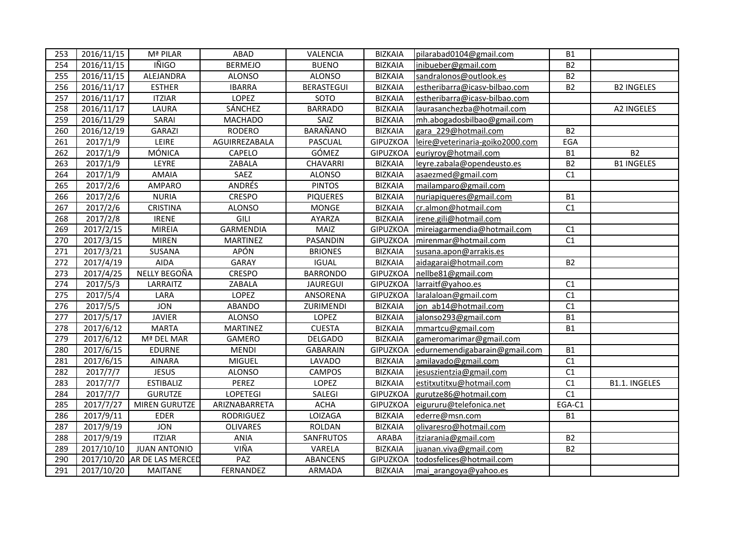| 253 | 2016/11/15              | Mª PILAR                    | ABAD            | VALENCIA          | <b>BIZKAIA</b>  | pilarabad0104@gmail.com         | <b>B1</b>  |                   |
|-----|-------------------------|-----------------------------|-----------------|-------------------|-----------------|---------------------------------|------------|-------------------|
| 254 | $\overline{2016}/11/15$ | IÑIGO                       | <b>BERMEJO</b>  | <b>BUENO</b>      | <b>BIZKAIA</b>  | inibueber@gmail.com             | <b>B2</b>  |                   |
| 255 | 2016/11/15              | ALEJANDRA                   | <b>ALONSO</b>   | <b>ALONSO</b>     | <b>BIZKAIA</b>  | sandralonos@outlook.es          | <b>B2</b>  |                   |
| 256 | 2016/11/17              | <b>ESTHER</b>               | <b>IBARRA</b>   | <b>BERASTEGUI</b> | <b>BIZKAIA</b>  | estheribarra@icasv-bilbao.com   | <b>B2</b>  | <b>B2 INGELES</b> |
| 257 | 2016/11/17              | <b>ITZIAR</b>               | LOPEZ           | SOTO              | <b>BIZKAIA</b>  | estheribarra@icasv-bilbao.com   |            |                   |
| 258 | 2016/11/17              | LAURA                       | SÁNCHEZ         | <b>BARRADO</b>    | <b>BIZKAIA</b>  | laurasanchezba@hotmail.com      |            | A2 INGELES        |
| 259 | 2016/11/29              | SARAI                       | <b>MACHADO</b>  | SAIZ              | <b>BIZKAIA</b>  | mh.abogadosbilbao@gmail.com     |            |                   |
| 260 | 2016/12/19              | <b>GARAZI</b>               | <b>RODERO</b>   | BARAÑANO          | <b>BIZKAIA</b>  | gara 229@hotmail.com            | <b>B2</b>  |                   |
| 261 | 2017/1/9                | LEIRE                       | AGUIRREZABALA   | PASCUAL           | <b>GIPUZKOA</b> | leire@veterinaria-goiko2000.com | EGA        |                   |
| 262 | 2017/1/9                | MÓNICA                      | CAPELO          | GÓMEZ             | <b>GIPUZKOA</b> | euriyroy@hotmail.com            | ${\sf B1}$ | <b>B2</b>         |
| 263 | 2017/1/9                | LEYRE                       | ZABALA          | CHAVARRI          | <b>BIZKAIA</b>  | leyre.zabala@opendeusto.es      | <b>B2</b>  | <b>B1 INGELES</b> |
| 264 | 2017/1/9                | <b>AMAIA</b>                | SAEZ            | <b>ALONSO</b>     | <b>BIZKAIA</b>  | asaezmed@gmail.com              | C1         |                   |
| 265 | 2017/2/6                | AMPARO                      | ANDRÉS          | <b>PINTOS</b>     | <b>BIZKAIA</b>  | mailamparo@gmail.com            |            |                   |
| 266 | 2017/2/6                | <b>NURIA</b>                | CRESPO          | <b>PIQUERES</b>   | <b>BIZKAIA</b>  | nuriapiqueres@gmail.com         | <b>B1</b>  |                   |
| 267 | 2017/2/6                | <b>CRISTINA</b>             | <b>ALONSO</b>   | <b>MONGE</b>      | <b>BIZKAIA</b>  | cr.almon@hotmail.com            | C1         |                   |
| 268 | 2017/2/8                | <b>IRENE</b>                | GILI            | AYARZA            | <b>BIZKAIA</b>  | irene.gili@hotmail.com          |            |                   |
| 269 | 2017/2/15               | <b>MIREIA</b>               | GARMENDIA       | MAIZ              | <b>GIPUZKOA</b> | mireiagarmendia@hotmail.com     | C1         |                   |
| 270 | 2017/3/15               | <b>MIREN</b>                | <b>MARTINEZ</b> | PASANDIN          | <b>GIPUZKOA</b> | mirenmar@hotmail.com            | C1         |                   |
| 271 | $\overline{2017/3}/21$  | SUSANA                      | <b>APÓN</b>     | <b>BRIONES</b>    | <b>BIZKAIA</b>  | susana.apon@arrakis.es          |            |                   |
| 272 | 2017/4/19               | <b>AIDA</b>                 | <b>GARAY</b>    | <b>IGUAL</b>      | <b>BIZKAIA</b>  | aidagarai@hotmail.com           | <b>B2</b>  |                   |
| 273 | 2017/4/25               | NELLY BEGOÑA                | <b>CRESPO</b>   | <b>BARRONDO</b>   | <b>GIPUZKOA</b> | nellbe81@gmail.com              |            |                   |
| 274 | 2017/5/3                | LARRAITZ                    | ZABALA          | <b>JAUREGUI</b>   | <b>GIPUZKOA</b> | larraitf@yahoo.es               | C1         |                   |
| 275 | 2017/5/4                | LARA                        | LOPEZ           | ANSORENA          | <b>GIPUZKOA</b> | laralaloan@gmail.com            | C1         |                   |
| 276 | 2017/5/5                | <b>JON</b>                  | ABANDO          | ZURIMENDI         | <b>BIZKAIA</b>  | jon ab14@hotmail.com            | C1         |                   |
| 277 | 2017/5/17               | <b>JAVIER</b>               | <b>ALONSO</b>   | LOPEZ             | <b>BIZKAIA</b>  | jalonso293@gmail.com            | B1         |                   |
| 278 | 2017/6/12               | <b>MARTA</b>                | MARTINEZ        | <b>CUESTA</b>     | <b>BIZKAIA</b>  | mmartcu@gmail.com               | B1         |                   |
| 279 | 2017/6/12               | Mª DEL MAR                  | GAMERO          | <b>DELGADO</b>    | <b>BIZKAIA</b>  | gameromarimar@gmail.com         |            |                   |
| 280 | 2017/6/15               | <b>EDURNE</b>               | <b>MENDI</b>    | <b>GABARAIN</b>   | <b>GIPUZKOA</b> | edurnemendigabarain@gmail.com   | <b>B1</b>  |                   |
| 281 | 2017/6/15               | <b>AINARA</b>               | <b>MIGUEL</b>   | LAVADO            | <b>BIZKAIA</b>  | amilavado@gmail.com             | C1         |                   |
| 282 | 2017/7/7                | <b>JESUS</b>                | <b>ALONSO</b>   | <b>CAMPOS</b>     | <b>BIZKAIA</b>  | jesuszientzia@gmail.com         | C1         |                   |
| 283 | 2017/7/7                | <b>ESTIBALIZ</b>            | PEREZ           | LOPEZ             | <b>BIZKAIA</b>  | estitxutitxu@hotmail.com        | C1         | B1.1. INGELES     |
| 284 | 2017/7/7                | <b>GURUTZE</b>              | <b>LOPETEGI</b> | SALEGI            | <b>GIPUZKOA</b> | gurutze86@hotmail.com           | C1         |                   |
| 285 | 2017/7/27               | <b>MIREN GURUTZE</b>        | ARIZNABARRETA   | <b>ACHA</b>       | <b>GIPUZKOA</b> | eigururu@telefonica.net         | EGA-C1     |                   |
| 286 | 2017/9/11               | <b>EDER</b>                 | RODRIGUEZ       | LOIZAGA           | <b>BIZKAIA</b>  | ederre@msn.com                  | <b>B1</b>  |                   |
| 287 | 2017/9/19               | <b>JON</b>                  | <b>OLIVARES</b> | ROLDAN            | <b>BIZKAIA</b>  | olivaresro@hotmail.com          |            |                   |
| 288 | 2017/9/19               | <b>ITZIAR</b>               | ANIA            | SANFRUTOS         | ARABA           | itziarania@gmail.com            | <b>B2</b>  |                   |
| 289 | 2017/10/10              | <b>JUAN ANTONIO</b>         | VIÑA            | VARELA            | <b>BIZKAIA</b>  | juanan.viva@gmail.com           | <b>B2</b>  |                   |
| 290 |                         | 2017/10/20 AR DE LAS MERCED | PAZ             | <b>ABANCENS</b>   | <b>GIPUZKOA</b> | todosfelices@hotmail.com        |            |                   |
| 291 | 2017/10/20              | <b>MAITANE</b>              | FERNANDEZ       | ARMADA            | <b>BIZKAIA</b>  | mai arangoya@yahoo.es           |            |                   |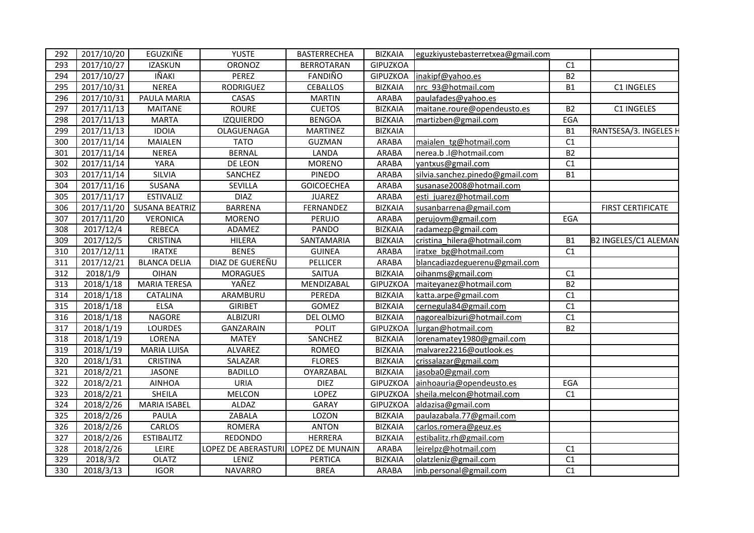| 292 | 2017/10/20 | EGUZKIÑE              | <b>YUSTE</b>        | <b>BASTERRECHEA</b> | <b>BIZKAIA</b>  | eguzkiyustebasterretxea@gmail.com |           |                          |
|-----|------------|-----------------------|---------------------|---------------------|-----------------|-----------------------------------|-----------|--------------------------|
| 293 | 2017/10/27 | <b>IZASKUN</b>        | ORONOZ              | <b>BERROTARAN</b>   | <b>GIPUZKOA</b> |                                   | C1        |                          |
| 294 | 2017/10/27 | IÑAKI                 | PEREZ               | FANDIÑO             | <b>GIPUZKOA</b> | inakipf@yahoo.es                  | <b>B2</b> |                          |
| 295 | 2017/10/31 | <b>NEREA</b>          | RODRIGUEZ           | <b>CEBALLOS</b>     | <b>BIZKAIA</b>  | nrc 93@hotmail.com                | <b>B1</b> | C1 INGELES               |
| 296 | 2017/10/31 | PAULA MARIA           | CASAS               | <b>MARTIN</b>       | <b>ARABA</b>    | paulafades@yahoo.es               |           |                          |
| 297 | 2017/11/13 | <b>MAITANE</b>        | <b>ROURE</b>        | <b>CUETOS</b>       | <b>BIZKAIA</b>  | maitane.roure@opendeusto.es       | <b>B2</b> | C1 INGELES               |
| 298 | 2017/11/13 | <b>MARTA</b>          | <b>IZQUIERDO</b>    | <b>BENGOA</b>       | <b>BIZKAIA</b>  | martizben@gmail.com               | EGA       |                          |
| 299 | 2017/11/13 | <b>IDOIA</b>          | OLAGUENAGA          | MARTINEZ            | <b>BIZKAIA</b>  |                                   | <b>B1</b> | RANTSESA/3. INGELES H    |
| 300 | 2017/11/14 | MAIALEN               | <b>TATO</b>         | GUZMAN              | <b>ARABA</b>    | maialen tg@hotmail.com            | C1        |                          |
| 301 | 2017/11/14 | <b>NEREA</b>          | <b>BERNAL</b>       | LANDA               | ARABA           | nerea.b.l@hotmail.com             | <b>B2</b> |                          |
| 302 | 2017/11/14 | <b>YARA</b>           | DE LEON             | <b>MORENO</b>       | <b>ARABA</b>    | yantxus@gmail.com                 | C1        |                          |
| 303 | 2017/11/14 | SILVIA                | SANCHEZ             | <b>PINEDO</b>       | ARABA           | silvia.sanchez.pinedo@gmail.com   | <b>B1</b> |                          |
| 304 | 2017/11/16 | SUSANA                | SEVILLA             | <b>GOICOECHEA</b>   | ARABA           | susanase2008@hotmail.com          |           |                          |
| 305 | 2017/11/17 | <b>ESTIVALIZ</b>      | <b>DIAZ</b>         | <b>JUAREZ</b>       | <b>ARABA</b>    | esti juarez@hotmail.com           |           |                          |
| 306 | 2017/11/20 | <b>SUSANA BEATRIZ</b> | <b>BARRENA</b>      | FERNANDEZ           | <b>BIZKAIA</b>  | susanbarrena@gmail.com            |           | <b>FIRST CERTIFICATE</b> |
| 307 | 2017/11/20 | <b>VERONICA</b>       | <b>MORENO</b>       | PERUJO              | <b>ARABA</b>    | perujovm@gmail.com                | EGA       |                          |
| 308 | 2017/12/4  | <b>REBECA</b>         | ADAMEZ              | PANDO               | <b>BIZKAIA</b>  | radamezp@gmail.com                |           |                          |
| 309 | 2017/12/5  | <b>CRISTINA</b>       | <b>HILERA</b>       | SANTAMARIA          | <b>BIZKAIA</b>  | cristina hilera@hotmail.com       | <b>B1</b> | B2 INGELES/C1 ALEMAN     |
| 310 | 2017/12/11 | <b>IRATXE</b>         | <b>BENES</b>        | <b>GUINEA</b>       | ARABA           | iratxe bg@hotmail.com             | C1        |                          |
| 311 | 2017/12/21 | <b>BLANCA DELIA</b>   | DIAZ DE GUEREÑU     | PELLICER            | <b>ARABA</b>    | blancadiazdeguerenu@gmail.com     |           |                          |
| 312 | 2018/1/9   | <b>OIHAN</b>          | <b>MORAGUES</b>     | SAITUA              | <b>BIZKAIA</b>  | oihanms@gmail.com                 | C1        |                          |
| 313 | 2018/1/18  | <b>MARIA TERESA</b>   | YAÑEZ               | MENDIZABAL          | <b>GIPUZKOA</b> | maiteyanez@hotmail.com            | <b>B2</b> |                          |
| 314 | 2018/1/18  | CATALINA              | ARAMBURU            | PEREDA              | <b>BIZKAIA</b>  | katta.arpe@gmail.com              | C1        |                          |
| 315 | 2018/1/18  | <b>ELSA</b>           | <b>GIRIBET</b>      | GOMEZ               | <b>BIZKAIA</b>  | cernegula84@gmail.com             | C1        |                          |
| 316 | 2018/1/18  | <b>NAGORE</b>         | <b>ALBIZURI</b>     | DEL OLMO            | <b>BIZKAIA</b>  | nagorealbizuri@hotmail.com        | C1        |                          |
| 317 | 2018/1/19  | <b>LOURDES</b>        | <b>GANZARAIN</b>    | <b>POLIT</b>        | <b>GIPUZKOA</b> | lurgan@hotmail.com                | <b>B2</b> |                          |
| 318 | 2018/1/19  | LORENA                | <b>MATEY</b>        | SANCHEZ             | <b>BIZKAIA</b>  | lorenamatey1980@gmail.com         |           |                          |
| 319 | 2018/1/19  | <b>MARIA LUISA</b>    | ALVAREZ             | ROMEO               | <b>BIZKAIA</b>  | malvarez2216@outlook.es           |           |                          |
| 320 | 2018/1/31  | <b>CRISTINA</b>       | SALAZAR             | <b>FLORES</b>       | <b>BIZKAIA</b>  | crissalazar@gmail.com             |           |                          |
| 321 | 2018/2/21  | <b>JASONE</b>         | <b>BADILLO</b>      | OYARZABAL           | <b>BIZKAIA</b>  | jasoba0@gmail.com                 |           |                          |
| 322 | 2018/2/21  | <b>AINHOA</b>         | <b>URIA</b>         | <b>DIEZ</b>         | <b>GIPUZKOA</b> | ainhoauria@opendeusto.es          | EGA       |                          |
| 323 | 2018/2/21  | SHEILA                | <b>MELCON</b>       | LOPEZ               | <b>GIPUZKOA</b> | sheila.melcon@hotmail.com         | C1        |                          |
| 324 | 2018/2/26  | <b>MARIA ISABEL</b>   | ALDAZ               | <b>GARAY</b>        | <b>GIPUZKOA</b> | aldazisa@gmail.com                |           |                          |
| 325 | 2018/2/26  | PAULA                 | ZABALA              | LOZON               | <b>BIZKAIA</b>  | paulazabala.77@gmail.com          |           |                          |
| 326 | 2018/2/26  | CARLOS                | <b>ROMERA</b>       | <b>ANTON</b>        | <b>BIZKAIA</b>  | carlos.romera@geuz.es             |           |                          |
| 327 | 2018/2/26  | <b>ESTIBALITZ</b>     | REDONDO             | <b>HERRERA</b>      | <b>BIZKAIA</b>  | estibalitz.rh@gmail.com           |           |                          |
| 328 | 2018/2/26  | LEIRE                 | LOPEZ DE ABERASTURI | LOPEZ DE MUNAIN     | ARABA           | leirelpz@hotmail.com              | C1        |                          |
| 329 | 2018/3/2   | <b>OLATZ</b>          | LENIZ               | <b>PERTICA</b>      | <b>BIZKAIA</b>  | olatzleniz@gmail.com              | C1        |                          |
| 330 | 2018/3/13  | <b>IGOR</b>           | <b>NAVARRO</b>      | <b>BREA</b>         | ARABA           | inb.personal@gmail.com            | C1        |                          |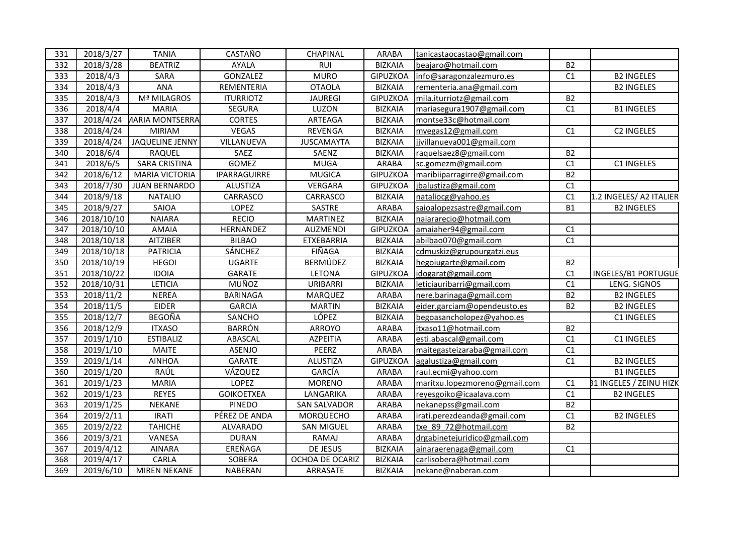| 331<br>2018/3/27<br>CASTAÑO<br><b>TANIA</b><br>CHAPINAL<br><b>ARABA</b><br>tanicastaocastao@gmail.com<br><b>BEATRIZ</b><br><b>BIZKAIA</b><br><b>B2</b><br>332<br>2018/3/28<br>AYALA<br>RUI<br>beajaro@hotmail.com<br>2018/4/3<br>SARA<br>GONZALEZ<br>C1<br>333<br><b>MURO</b><br><b>GIPUZKOA</b><br>info@saragonzalezmuro.es<br>2018/4/3<br><b>ANA</b><br><b>OTAOLA</b><br><b>BIZKAIA</b><br>334<br>REMENTERIA<br>rementeria.ana@gmail.com<br>Mª MILAGROS<br>335<br>2018/4/3<br><b>ITURRIOTZ</b><br><b>JAUREGI</b><br><b>GIPUZKOA</b><br><b>B2</b><br>mila.iturriotz@gmail.com<br>336<br>2018/4/4<br><b>MARIA</b><br>LUZON<br><b>BIZKAIA</b><br>C1<br><b>SEGURA</b><br>mariasegura1907@gmail.com<br>337<br><b><i>IARIA MONTSERRA</i></b><br><b>CORTES</b><br><b>BIZKAIA</b><br>2018/4/24<br>ARTEAGA<br>montse33c@hotmail.com<br>2018/4/24<br>C1<br>338<br><b>MIRIAM</b><br>VEGAS<br>REVENGA<br><b>BIZKAIA</b><br>mvegas12@gmail.com<br>339<br>2018/4/24<br>JAQUELINE JENNY<br>VILLANUEVA<br><b>JUSCAMAYTA</b><br><b>BIZKAIA</b><br>jjvillanueva001@gmail.com<br>2018/6/4<br>340<br>RAQUEL<br>SAEZ<br>SAENZ<br><b>BIZKAIA</b><br><b>B2</b><br>raquelsaez8@gmail.com<br>2018/6/5<br><b>GOMEZ</b><br>ARABA<br>341<br><b>SARA CRISTINA</b><br><b>MUGA</b><br>C1<br>sc.gomezm@gmail.com<br>2018/6/12<br>342<br><b>MARIA VICTORIA</b><br>IPARRAGUIRRE<br><b>MUGICA</b><br>GIPUZKOA<br>maribiiparragirre@gmail.com<br><b>B2</b><br>2018/7/30<br>C1<br>343<br><b>JUAN BERNARDO</b><br>VERGARA<br><b>GIPUZKOA</b><br>ALUSTIZA<br>jbalustiza@gmail.com<br>344<br>2018/9/18<br><b>NATALIO</b><br>CARRASCO<br>CARRASCO<br><b>BIZKAIA</b><br>C1<br>nataliocg@yahoo.es<br>2018/9/27<br>LOPEZ<br>SASTRE<br>ARABA<br>345<br>SAIOA<br><b>B1</b><br>saioalopezsastre@gmail.com<br><b>NAIARA</b><br>346<br>2018/10/10<br><b>RECIO</b><br><b>MARTINEZ</b><br><b>BIZKAIA</b><br>naiararecio@hotmail.com<br>347<br>2018/10/10<br><b>AMAIA</b><br>HERNANDEZ<br><b>GIPUZKOA</b><br>C1<br>AUZMENDI<br>amaiaher94@gmail.com<br>C1<br>348<br>2018/10/18<br><b>AITZIBER</b><br><b>BILBAO</b><br><b>BIZKAIA</b><br>ETXEBARRIA<br>abilbao070@gmail.com<br>2018/10/18<br>349<br><b>PATRICIA</b><br>SÁNCHEZ<br>FIÑAGA<br><b>BIZKAIA</b><br>cdmuskiz@grupourgatzi.eus<br>2018/10/19<br><b>B2</b><br>350<br><b>HEGOI</b><br><b>UGARTE</b><br>BERMÚDEZ<br><b>BIZKAIA</b><br>hegoiugarte@gmail.com<br>351<br>2018/10/22<br><b>GIPUZKOA</b><br>C1<br><b>IDOIA</b><br>GARATE<br>LETONA<br>idogarat@gmail.com<br>352<br><b>LETICIA</b><br>MUÑOZ<br>C1<br>2018/10/31<br>URIBARRI<br><b>BIZKAIA</b><br>leticiauribarri@gmail.com<br>353<br><b>B2</b><br>2018/11/2<br><b>NEREA</b><br><b>BARINAGA</b><br><b>MARQUEZ</b><br><b>ARABA</b><br>nere.barinaga@gmail.com<br>354<br><b>BIZKAIA</b><br>2018/11/5<br><b>EIDER</b><br><b>GARCIA</b><br><b>MARTIN</b><br>eider.garciam@opendeusto.es<br><b>B2</b><br><b>BEGOÑA</b><br>LÓPEZ<br>355<br>2018/12/7<br><b>BIZKAIA</b><br>SANCHO<br>begoasancholopez@yahoo.es<br>356<br>2018/12/9<br><b>ITXASO</b><br><b>BARRÓN</b><br><b>ARABA</b><br><b>B2</b><br>ARROYO<br>itxaso11@hotmail.com<br>357<br>2019/1/10<br><b>ESTIBALIZ</b><br>ABASCAL<br><b>AZPEITIA</b><br><b>ARABA</b><br>C1<br>esti.abascal@gmail.com<br><b>MAITE</b><br>PEERZ<br><b>ARABA</b><br>C1<br>358<br>2019/1/10<br>ASENJO<br>maitegasteizaraba@gmail.com<br>359<br>2019/1/14<br>C1<br><b>AINHOA</b><br>GARATE<br><b>ALUSTIZA</b><br><b>GIPUZKOA</b><br>agalustiza@gmail.com<br>360<br>2019/1/20<br>RAÚL<br>VÁZQUEZ<br>GARCÍA<br><b>ARABA</b><br>raul.ecmi@yahoo.com<br>2019/1/23<br><b>LOPEZ</b><br>C1<br>361<br><b>MARIA</b><br><b>MORENO</b><br><b>ARABA</b><br>maritxu.lopezmoreno@gmail.com<br>362<br>2019/1/23<br><b>REYES</b><br><b>GOIKOETXEA</b><br><b>ARABA</b><br>C1<br>LANGARIKA<br>reyesgoiko@icaalava.com<br>363<br>2019/1/25<br><b>NEKANE</b><br>PINEDO<br><b>ARABA</b><br><b>B2</b><br><b>SAN SALVADOR</b><br>nekanepss@gmail.com<br>PÉREZ DE ANDA<br>364<br>2019/2/11<br><b>IRATI</b><br><b>MORQUECHO</b><br><b>ARABA</b><br>irati.perezdeanda@gmail.com<br>C1<br>365<br>2019/2/22<br><b>ARABA</b><br><b>B2</b><br><b>TAHICHE</b><br><b>ALVARADO</b><br><b>SAN MIGUEL</b><br>txe 89 72@hotmail.com<br>366<br>2019/3/21<br>VANESA<br><b>ARABA</b><br><b>DURAN</b><br>RAMAJ<br>drgabinetejuridico@gmail.com<br>367<br>2019/4/12<br>AINARA<br>EREÑAGA<br>DE JESUS<br><b>BIZKAIA</b><br>C1<br>ainaraerenaga@gmail.com |     |           |       |        |                 |                |                         |                                |
|-----------------------------------------------------------------------------------------------------------------------------------------------------------------------------------------------------------------------------------------------------------------------------------------------------------------------------------------------------------------------------------------------------------------------------------------------------------------------------------------------------------------------------------------------------------------------------------------------------------------------------------------------------------------------------------------------------------------------------------------------------------------------------------------------------------------------------------------------------------------------------------------------------------------------------------------------------------------------------------------------------------------------------------------------------------------------------------------------------------------------------------------------------------------------------------------------------------------------------------------------------------------------------------------------------------------------------------------------------------------------------------------------------------------------------------------------------------------------------------------------------------------------------------------------------------------------------------------------------------------------------------------------------------------------------------------------------------------------------------------------------------------------------------------------------------------------------------------------------------------------------------------------------------------------------------------------------------------------------------------------------------------------------------------------------------------------------------------------------------------------------------------------------------------------------------------------------------------------------------------------------------------------------------------------------------------------------------------------------------------------------------------------------------------------------------------------------------------------------------------------------------------------------------------------------------------------------------------------------------------------------------------------------------------------------------------------------------------------------------------------------------------------------------------------------------------------------------------------------------------------------------------------------------------------------------------------------------------------------------------------------------------------------------------------------------------------------------------------------------------------------------------------------------------------------------------------------------------------------------------------------------------------------------------------------------------------------------------------------------------------------------------------------------------------------------------------------------------------------------------------------------------------------------------------------------------------------------------------------------------------------------------------------------------------------------------------------------------------------------------------------------------------------------------------------------------------------------------------------------------------------------------------------------------------------------------------------------------------------------------------------------------------------------------------------------------------------------------------------------------------------------------------------------------------------------------------------------------------------------------------------------------------------------------------------------------------------------------------------------------------------------------------------|-----|-----------|-------|--------|-----------------|----------------|-------------------------|--------------------------------|
|                                                                                                                                                                                                                                                                                                                                                                                                                                                                                                                                                                                                                                                                                                                                                                                                                                                                                                                                                                                                                                                                                                                                                                                                                                                                                                                                                                                                                                                                                                                                                                                                                                                                                                                                                                                                                                                                                                                                                                                                                                                                                                                                                                                                                                                                                                                                                                                                                                                                                                                                                                                                                                                                                                                                                                                                                                                                                                                                                                                                                                                                                                                                                                                                                                                                                                                                                                                                                                                                                                                                                                                                                                                                                                                                                                                                                                                                                                                                                                                                                                                                                                                                                                                                                                                                                                                                                                                                     |     |           |       |        |                 |                |                         |                                |
|                                                                                                                                                                                                                                                                                                                                                                                                                                                                                                                                                                                                                                                                                                                                                                                                                                                                                                                                                                                                                                                                                                                                                                                                                                                                                                                                                                                                                                                                                                                                                                                                                                                                                                                                                                                                                                                                                                                                                                                                                                                                                                                                                                                                                                                                                                                                                                                                                                                                                                                                                                                                                                                                                                                                                                                                                                                                                                                                                                                                                                                                                                                                                                                                                                                                                                                                                                                                                                                                                                                                                                                                                                                                                                                                                                                                                                                                                                                                                                                                                                                                                                                                                                                                                                                                                                                                                                                                     |     |           |       |        |                 |                |                         |                                |
|                                                                                                                                                                                                                                                                                                                                                                                                                                                                                                                                                                                                                                                                                                                                                                                                                                                                                                                                                                                                                                                                                                                                                                                                                                                                                                                                                                                                                                                                                                                                                                                                                                                                                                                                                                                                                                                                                                                                                                                                                                                                                                                                                                                                                                                                                                                                                                                                                                                                                                                                                                                                                                                                                                                                                                                                                                                                                                                                                                                                                                                                                                                                                                                                                                                                                                                                                                                                                                                                                                                                                                                                                                                                                                                                                                                                                                                                                                                                                                                                                                                                                                                                                                                                                                                                                                                                                                                                     |     |           |       |        |                 |                |                         | <b>B2 INGELES</b>              |
|                                                                                                                                                                                                                                                                                                                                                                                                                                                                                                                                                                                                                                                                                                                                                                                                                                                                                                                                                                                                                                                                                                                                                                                                                                                                                                                                                                                                                                                                                                                                                                                                                                                                                                                                                                                                                                                                                                                                                                                                                                                                                                                                                                                                                                                                                                                                                                                                                                                                                                                                                                                                                                                                                                                                                                                                                                                                                                                                                                                                                                                                                                                                                                                                                                                                                                                                                                                                                                                                                                                                                                                                                                                                                                                                                                                                                                                                                                                                                                                                                                                                                                                                                                                                                                                                                                                                                                                                     |     |           |       |        |                 |                |                         | <b>B2 INGELES</b>              |
|                                                                                                                                                                                                                                                                                                                                                                                                                                                                                                                                                                                                                                                                                                                                                                                                                                                                                                                                                                                                                                                                                                                                                                                                                                                                                                                                                                                                                                                                                                                                                                                                                                                                                                                                                                                                                                                                                                                                                                                                                                                                                                                                                                                                                                                                                                                                                                                                                                                                                                                                                                                                                                                                                                                                                                                                                                                                                                                                                                                                                                                                                                                                                                                                                                                                                                                                                                                                                                                                                                                                                                                                                                                                                                                                                                                                                                                                                                                                                                                                                                                                                                                                                                                                                                                                                                                                                                                                     |     |           |       |        |                 |                |                         |                                |
|                                                                                                                                                                                                                                                                                                                                                                                                                                                                                                                                                                                                                                                                                                                                                                                                                                                                                                                                                                                                                                                                                                                                                                                                                                                                                                                                                                                                                                                                                                                                                                                                                                                                                                                                                                                                                                                                                                                                                                                                                                                                                                                                                                                                                                                                                                                                                                                                                                                                                                                                                                                                                                                                                                                                                                                                                                                                                                                                                                                                                                                                                                                                                                                                                                                                                                                                                                                                                                                                                                                                                                                                                                                                                                                                                                                                                                                                                                                                                                                                                                                                                                                                                                                                                                                                                                                                                                                                     |     |           |       |        |                 |                |                         | <b>B1 INGELES</b>              |
|                                                                                                                                                                                                                                                                                                                                                                                                                                                                                                                                                                                                                                                                                                                                                                                                                                                                                                                                                                                                                                                                                                                                                                                                                                                                                                                                                                                                                                                                                                                                                                                                                                                                                                                                                                                                                                                                                                                                                                                                                                                                                                                                                                                                                                                                                                                                                                                                                                                                                                                                                                                                                                                                                                                                                                                                                                                                                                                                                                                                                                                                                                                                                                                                                                                                                                                                                                                                                                                                                                                                                                                                                                                                                                                                                                                                                                                                                                                                                                                                                                                                                                                                                                                                                                                                                                                                                                                                     |     |           |       |        |                 |                |                         |                                |
|                                                                                                                                                                                                                                                                                                                                                                                                                                                                                                                                                                                                                                                                                                                                                                                                                                                                                                                                                                                                                                                                                                                                                                                                                                                                                                                                                                                                                                                                                                                                                                                                                                                                                                                                                                                                                                                                                                                                                                                                                                                                                                                                                                                                                                                                                                                                                                                                                                                                                                                                                                                                                                                                                                                                                                                                                                                                                                                                                                                                                                                                                                                                                                                                                                                                                                                                                                                                                                                                                                                                                                                                                                                                                                                                                                                                                                                                                                                                                                                                                                                                                                                                                                                                                                                                                                                                                                                                     |     |           |       |        |                 |                |                         | C2 INGELES                     |
|                                                                                                                                                                                                                                                                                                                                                                                                                                                                                                                                                                                                                                                                                                                                                                                                                                                                                                                                                                                                                                                                                                                                                                                                                                                                                                                                                                                                                                                                                                                                                                                                                                                                                                                                                                                                                                                                                                                                                                                                                                                                                                                                                                                                                                                                                                                                                                                                                                                                                                                                                                                                                                                                                                                                                                                                                                                                                                                                                                                                                                                                                                                                                                                                                                                                                                                                                                                                                                                                                                                                                                                                                                                                                                                                                                                                                                                                                                                                                                                                                                                                                                                                                                                                                                                                                                                                                                                                     |     |           |       |        |                 |                |                         |                                |
|                                                                                                                                                                                                                                                                                                                                                                                                                                                                                                                                                                                                                                                                                                                                                                                                                                                                                                                                                                                                                                                                                                                                                                                                                                                                                                                                                                                                                                                                                                                                                                                                                                                                                                                                                                                                                                                                                                                                                                                                                                                                                                                                                                                                                                                                                                                                                                                                                                                                                                                                                                                                                                                                                                                                                                                                                                                                                                                                                                                                                                                                                                                                                                                                                                                                                                                                                                                                                                                                                                                                                                                                                                                                                                                                                                                                                                                                                                                                                                                                                                                                                                                                                                                                                                                                                                                                                                                                     |     |           |       |        |                 |                |                         |                                |
|                                                                                                                                                                                                                                                                                                                                                                                                                                                                                                                                                                                                                                                                                                                                                                                                                                                                                                                                                                                                                                                                                                                                                                                                                                                                                                                                                                                                                                                                                                                                                                                                                                                                                                                                                                                                                                                                                                                                                                                                                                                                                                                                                                                                                                                                                                                                                                                                                                                                                                                                                                                                                                                                                                                                                                                                                                                                                                                                                                                                                                                                                                                                                                                                                                                                                                                                                                                                                                                                                                                                                                                                                                                                                                                                                                                                                                                                                                                                                                                                                                                                                                                                                                                                                                                                                                                                                                                                     |     |           |       |        |                 |                |                         | C1 INGELES                     |
|                                                                                                                                                                                                                                                                                                                                                                                                                                                                                                                                                                                                                                                                                                                                                                                                                                                                                                                                                                                                                                                                                                                                                                                                                                                                                                                                                                                                                                                                                                                                                                                                                                                                                                                                                                                                                                                                                                                                                                                                                                                                                                                                                                                                                                                                                                                                                                                                                                                                                                                                                                                                                                                                                                                                                                                                                                                                                                                                                                                                                                                                                                                                                                                                                                                                                                                                                                                                                                                                                                                                                                                                                                                                                                                                                                                                                                                                                                                                                                                                                                                                                                                                                                                                                                                                                                                                                                                                     |     |           |       |        |                 |                |                         |                                |
|                                                                                                                                                                                                                                                                                                                                                                                                                                                                                                                                                                                                                                                                                                                                                                                                                                                                                                                                                                                                                                                                                                                                                                                                                                                                                                                                                                                                                                                                                                                                                                                                                                                                                                                                                                                                                                                                                                                                                                                                                                                                                                                                                                                                                                                                                                                                                                                                                                                                                                                                                                                                                                                                                                                                                                                                                                                                                                                                                                                                                                                                                                                                                                                                                                                                                                                                                                                                                                                                                                                                                                                                                                                                                                                                                                                                                                                                                                                                                                                                                                                                                                                                                                                                                                                                                                                                                                                                     |     |           |       |        |                 |                |                         |                                |
|                                                                                                                                                                                                                                                                                                                                                                                                                                                                                                                                                                                                                                                                                                                                                                                                                                                                                                                                                                                                                                                                                                                                                                                                                                                                                                                                                                                                                                                                                                                                                                                                                                                                                                                                                                                                                                                                                                                                                                                                                                                                                                                                                                                                                                                                                                                                                                                                                                                                                                                                                                                                                                                                                                                                                                                                                                                                                                                                                                                                                                                                                                                                                                                                                                                                                                                                                                                                                                                                                                                                                                                                                                                                                                                                                                                                                                                                                                                                                                                                                                                                                                                                                                                                                                                                                                                                                                                                     |     |           |       |        |                 |                |                         | 1.2 INGELES/ A2 ITALIER        |
|                                                                                                                                                                                                                                                                                                                                                                                                                                                                                                                                                                                                                                                                                                                                                                                                                                                                                                                                                                                                                                                                                                                                                                                                                                                                                                                                                                                                                                                                                                                                                                                                                                                                                                                                                                                                                                                                                                                                                                                                                                                                                                                                                                                                                                                                                                                                                                                                                                                                                                                                                                                                                                                                                                                                                                                                                                                                                                                                                                                                                                                                                                                                                                                                                                                                                                                                                                                                                                                                                                                                                                                                                                                                                                                                                                                                                                                                                                                                                                                                                                                                                                                                                                                                                                                                                                                                                                                                     |     |           |       |        |                 |                |                         | <b>B2 INGELES</b>              |
|                                                                                                                                                                                                                                                                                                                                                                                                                                                                                                                                                                                                                                                                                                                                                                                                                                                                                                                                                                                                                                                                                                                                                                                                                                                                                                                                                                                                                                                                                                                                                                                                                                                                                                                                                                                                                                                                                                                                                                                                                                                                                                                                                                                                                                                                                                                                                                                                                                                                                                                                                                                                                                                                                                                                                                                                                                                                                                                                                                                                                                                                                                                                                                                                                                                                                                                                                                                                                                                                                                                                                                                                                                                                                                                                                                                                                                                                                                                                                                                                                                                                                                                                                                                                                                                                                                                                                                                                     |     |           |       |        |                 |                |                         |                                |
|                                                                                                                                                                                                                                                                                                                                                                                                                                                                                                                                                                                                                                                                                                                                                                                                                                                                                                                                                                                                                                                                                                                                                                                                                                                                                                                                                                                                                                                                                                                                                                                                                                                                                                                                                                                                                                                                                                                                                                                                                                                                                                                                                                                                                                                                                                                                                                                                                                                                                                                                                                                                                                                                                                                                                                                                                                                                                                                                                                                                                                                                                                                                                                                                                                                                                                                                                                                                                                                                                                                                                                                                                                                                                                                                                                                                                                                                                                                                                                                                                                                                                                                                                                                                                                                                                                                                                                                                     |     |           |       |        |                 |                |                         |                                |
|                                                                                                                                                                                                                                                                                                                                                                                                                                                                                                                                                                                                                                                                                                                                                                                                                                                                                                                                                                                                                                                                                                                                                                                                                                                                                                                                                                                                                                                                                                                                                                                                                                                                                                                                                                                                                                                                                                                                                                                                                                                                                                                                                                                                                                                                                                                                                                                                                                                                                                                                                                                                                                                                                                                                                                                                                                                                                                                                                                                                                                                                                                                                                                                                                                                                                                                                                                                                                                                                                                                                                                                                                                                                                                                                                                                                                                                                                                                                                                                                                                                                                                                                                                                                                                                                                                                                                                                                     |     |           |       |        |                 |                |                         |                                |
|                                                                                                                                                                                                                                                                                                                                                                                                                                                                                                                                                                                                                                                                                                                                                                                                                                                                                                                                                                                                                                                                                                                                                                                                                                                                                                                                                                                                                                                                                                                                                                                                                                                                                                                                                                                                                                                                                                                                                                                                                                                                                                                                                                                                                                                                                                                                                                                                                                                                                                                                                                                                                                                                                                                                                                                                                                                                                                                                                                                                                                                                                                                                                                                                                                                                                                                                                                                                                                                                                                                                                                                                                                                                                                                                                                                                                                                                                                                                                                                                                                                                                                                                                                                                                                                                                                                                                                                                     |     |           |       |        |                 |                |                         |                                |
|                                                                                                                                                                                                                                                                                                                                                                                                                                                                                                                                                                                                                                                                                                                                                                                                                                                                                                                                                                                                                                                                                                                                                                                                                                                                                                                                                                                                                                                                                                                                                                                                                                                                                                                                                                                                                                                                                                                                                                                                                                                                                                                                                                                                                                                                                                                                                                                                                                                                                                                                                                                                                                                                                                                                                                                                                                                                                                                                                                                                                                                                                                                                                                                                                                                                                                                                                                                                                                                                                                                                                                                                                                                                                                                                                                                                                                                                                                                                                                                                                                                                                                                                                                                                                                                                                                                                                                                                     |     |           |       |        |                 |                |                         |                                |
|                                                                                                                                                                                                                                                                                                                                                                                                                                                                                                                                                                                                                                                                                                                                                                                                                                                                                                                                                                                                                                                                                                                                                                                                                                                                                                                                                                                                                                                                                                                                                                                                                                                                                                                                                                                                                                                                                                                                                                                                                                                                                                                                                                                                                                                                                                                                                                                                                                                                                                                                                                                                                                                                                                                                                                                                                                                                                                                                                                                                                                                                                                                                                                                                                                                                                                                                                                                                                                                                                                                                                                                                                                                                                                                                                                                                                                                                                                                                                                                                                                                                                                                                                                                                                                                                                                                                                                                                     |     |           |       |        |                 |                |                         | INGELES/B1 PORTUGUE            |
|                                                                                                                                                                                                                                                                                                                                                                                                                                                                                                                                                                                                                                                                                                                                                                                                                                                                                                                                                                                                                                                                                                                                                                                                                                                                                                                                                                                                                                                                                                                                                                                                                                                                                                                                                                                                                                                                                                                                                                                                                                                                                                                                                                                                                                                                                                                                                                                                                                                                                                                                                                                                                                                                                                                                                                                                                                                                                                                                                                                                                                                                                                                                                                                                                                                                                                                                                                                                                                                                                                                                                                                                                                                                                                                                                                                                                                                                                                                                                                                                                                                                                                                                                                                                                                                                                                                                                                                                     |     |           |       |        |                 |                |                         | LENG. SIGNOS                   |
|                                                                                                                                                                                                                                                                                                                                                                                                                                                                                                                                                                                                                                                                                                                                                                                                                                                                                                                                                                                                                                                                                                                                                                                                                                                                                                                                                                                                                                                                                                                                                                                                                                                                                                                                                                                                                                                                                                                                                                                                                                                                                                                                                                                                                                                                                                                                                                                                                                                                                                                                                                                                                                                                                                                                                                                                                                                                                                                                                                                                                                                                                                                                                                                                                                                                                                                                                                                                                                                                                                                                                                                                                                                                                                                                                                                                                                                                                                                                                                                                                                                                                                                                                                                                                                                                                                                                                                                                     |     |           |       |        |                 |                |                         | <b>B2 INGELES</b>              |
|                                                                                                                                                                                                                                                                                                                                                                                                                                                                                                                                                                                                                                                                                                                                                                                                                                                                                                                                                                                                                                                                                                                                                                                                                                                                                                                                                                                                                                                                                                                                                                                                                                                                                                                                                                                                                                                                                                                                                                                                                                                                                                                                                                                                                                                                                                                                                                                                                                                                                                                                                                                                                                                                                                                                                                                                                                                                                                                                                                                                                                                                                                                                                                                                                                                                                                                                                                                                                                                                                                                                                                                                                                                                                                                                                                                                                                                                                                                                                                                                                                                                                                                                                                                                                                                                                                                                                                                                     |     |           |       |        |                 |                |                         | <b>B2 INGELES</b>              |
|                                                                                                                                                                                                                                                                                                                                                                                                                                                                                                                                                                                                                                                                                                                                                                                                                                                                                                                                                                                                                                                                                                                                                                                                                                                                                                                                                                                                                                                                                                                                                                                                                                                                                                                                                                                                                                                                                                                                                                                                                                                                                                                                                                                                                                                                                                                                                                                                                                                                                                                                                                                                                                                                                                                                                                                                                                                                                                                                                                                                                                                                                                                                                                                                                                                                                                                                                                                                                                                                                                                                                                                                                                                                                                                                                                                                                                                                                                                                                                                                                                                                                                                                                                                                                                                                                                                                                                                                     |     |           |       |        |                 |                |                         | C1 INGELES                     |
|                                                                                                                                                                                                                                                                                                                                                                                                                                                                                                                                                                                                                                                                                                                                                                                                                                                                                                                                                                                                                                                                                                                                                                                                                                                                                                                                                                                                                                                                                                                                                                                                                                                                                                                                                                                                                                                                                                                                                                                                                                                                                                                                                                                                                                                                                                                                                                                                                                                                                                                                                                                                                                                                                                                                                                                                                                                                                                                                                                                                                                                                                                                                                                                                                                                                                                                                                                                                                                                                                                                                                                                                                                                                                                                                                                                                                                                                                                                                                                                                                                                                                                                                                                                                                                                                                                                                                                                                     |     |           |       |        |                 |                |                         |                                |
|                                                                                                                                                                                                                                                                                                                                                                                                                                                                                                                                                                                                                                                                                                                                                                                                                                                                                                                                                                                                                                                                                                                                                                                                                                                                                                                                                                                                                                                                                                                                                                                                                                                                                                                                                                                                                                                                                                                                                                                                                                                                                                                                                                                                                                                                                                                                                                                                                                                                                                                                                                                                                                                                                                                                                                                                                                                                                                                                                                                                                                                                                                                                                                                                                                                                                                                                                                                                                                                                                                                                                                                                                                                                                                                                                                                                                                                                                                                                                                                                                                                                                                                                                                                                                                                                                                                                                                                                     |     |           |       |        |                 |                |                         | C1 INGELES                     |
|                                                                                                                                                                                                                                                                                                                                                                                                                                                                                                                                                                                                                                                                                                                                                                                                                                                                                                                                                                                                                                                                                                                                                                                                                                                                                                                                                                                                                                                                                                                                                                                                                                                                                                                                                                                                                                                                                                                                                                                                                                                                                                                                                                                                                                                                                                                                                                                                                                                                                                                                                                                                                                                                                                                                                                                                                                                                                                                                                                                                                                                                                                                                                                                                                                                                                                                                                                                                                                                                                                                                                                                                                                                                                                                                                                                                                                                                                                                                                                                                                                                                                                                                                                                                                                                                                                                                                                                                     |     |           |       |        |                 |                |                         |                                |
|                                                                                                                                                                                                                                                                                                                                                                                                                                                                                                                                                                                                                                                                                                                                                                                                                                                                                                                                                                                                                                                                                                                                                                                                                                                                                                                                                                                                                                                                                                                                                                                                                                                                                                                                                                                                                                                                                                                                                                                                                                                                                                                                                                                                                                                                                                                                                                                                                                                                                                                                                                                                                                                                                                                                                                                                                                                                                                                                                                                                                                                                                                                                                                                                                                                                                                                                                                                                                                                                                                                                                                                                                                                                                                                                                                                                                                                                                                                                                                                                                                                                                                                                                                                                                                                                                                                                                                                                     |     |           |       |        |                 |                |                         | <b>B2 INGELES</b>              |
|                                                                                                                                                                                                                                                                                                                                                                                                                                                                                                                                                                                                                                                                                                                                                                                                                                                                                                                                                                                                                                                                                                                                                                                                                                                                                                                                                                                                                                                                                                                                                                                                                                                                                                                                                                                                                                                                                                                                                                                                                                                                                                                                                                                                                                                                                                                                                                                                                                                                                                                                                                                                                                                                                                                                                                                                                                                                                                                                                                                                                                                                                                                                                                                                                                                                                                                                                                                                                                                                                                                                                                                                                                                                                                                                                                                                                                                                                                                                                                                                                                                                                                                                                                                                                                                                                                                                                                                                     |     |           |       |        |                 |                |                         | <b>B1 INGELES</b>              |
|                                                                                                                                                                                                                                                                                                                                                                                                                                                                                                                                                                                                                                                                                                                                                                                                                                                                                                                                                                                                                                                                                                                                                                                                                                                                                                                                                                                                                                                                                                                                                                                                                                                                                                                                                                                                                                                                                                                                                                                                                                                                                                                                                                                                                                                                                                                                                                                                                                                                                                                                                                                                                                                                                                                                                                                                                                                                                                                                                                                                                                                                                                                                                                                                                                                                                                                                                                                                                                                                                                                                                                                                                                                                                                                                                                                                                                                                                                                                                                                                                                                                                                                                                                                                                                                                                                                                                                                                     |     |           |       |        |                 |                |                         | <b>81 INGELES / ZEINU HIZK</b> |
|                                                                                                                                                                                                                                                                                                                                                                                                                                                                                                                                                                                                                                                                                                                                                                                                                                                                                                                                                                                                                                                                                                                                                                                                                                                                                                                                                                                                                                                                                                                                                                                                                                                                                                                                                                                                                                                                                                                                                                                                                                                                                                                                                                                                                                                                                                                                                                                                                                                                                                                                                                                                                                                                                                                                                                                                                                                                                                                                                                                                                                                                                                                                                                                                                                                                                                                                                                                                                                                                                                                                                                                                                                                                                                                                                                                                                                                                                                                                                                                                                                                                                                                                                                                                                                                                                                                                                                                                     |     |           |       |        |                 |                |                         | <b>B2 INGELES</b>              |
|                                                                                                                                                                                                                                                                                                                                                                                                                                                                                                                                                                                                                                                                                                                                                                                                                                                                                                                                                                                                                                                                                                                                                                                                                                                                                                                                                                                                                                                                                                                                                                                                                                                                                                                                                                                                                                                                                                                                                                                                                                                                                                                                                                                                                                                                                                                                                                                                                                                                                                                                                                                                                                                                                                                                                                                                                                                                                                                                                                                                                                                                                                                                                                                                                                                                                                                                                                                                                                                                                                                                                                                                                                                                                                                                                                                                                                                                                                                                                                                                                                                                                                                                                                                                                                                                                                                                                                                                     |     |           |       |        |                 |                |                         |                                |
|                                                                                                                                                                                                                                                                                                                                                                                                                                                                                                                                                                                                                                                                                                                                                                                                                                                                                                                                                                                                                                                                                                                                                                                                                                                                                                                                                                                                                                                                                                                                                                                                                                                                                                                                                                                                                                                                                                                                                                                                                                                                                                                                                                                                                                                                                                                                                                                                                                                                                                                                                                                                                                                                                                                                                                                                                                                                                                                                                                                                                                                                                                                                                                                                                                                                                                                                                                                                                                                                                                                                                                                                                                                                                                                                                                                                                                                                                                                                                                                                                                                                                                                                                                                                                                                                                                                                                                                                     |     |           |       |        |                 |                |                         | <b>B2 INGELES</b>              |
|                                                                                                                                                                                                                                                                                                                                                                                                                                                                                                                                                                                                                                                                                                                                                                                                                                                                                                                                                                                                                                                                                                                                                                                                                                                                                                                                                                                                                                                                                                                                                                                                                                                                                                                                                                                                                                                                                                                                                                                                                                                                                                                                                                                                                                                                                                                                                                                                                                                                                                                                                                                                                                                                                                                                                                                                                                                                                                                                                                                                                                                                                                                                                                                                                                                                                                                                                                                                                                                                                                                                                                                                                                                                                                                                                                                                                                                                                                                                                                                                                                                                                                                                                                                                                                                                                                                                                                                                     |     |           |       |        |                 |                |                         |                                |
|                                                                                                                                                                                                                                                                                                                                                                                                                                                                                                                                                                                                                                                                                                                                                                                                                                                                                                                                                                                                                                                                                                                                                                                                                                                                                                                                                                                                                                                                                                                                                                                                                                                                                                                                                                                                                                                                                                                                                                                                                                                                                                                                                                                                                                                                                                                                                                                                                                                                                                                                                                                                                                                                                                                                                                                                                                                                                                                                                                                                                                                                                                                                                                                                                                                                                                                                                                                                                                                                                                                                                                                                                                                                                                                                                                                                                                                                                                                                                                                                                                                                                                                                                                                                                                                                                                                                                                                                     |     |           |       |        |                 |                |                         |                                |
|                                                                                                                                                                                                                                                                                                                                                                                                                                                                                                                                                                                                                                                                                                                                                                                                                                                                                                                                                                                                                                                                                                                                                                                                                                                                                                                                                                                                                                                                                                                                                                                                                                                                                                                                                                                                                                                                                                                                                                                                                                                                                                                                                                                                                                                                                                                                                                                                                                                                                                                                                                                                                                                                                                                                                                                                                                                                                                                                                                                                                                                                                                                                                                                                                                                                                                                                                                                                                                                                                                                                                                                                                                                                                                                                                                                                                                                                                                                                                                                                                                                                                                                                                                                                                                                                                                                                                                                                     |     |           |       |        |                 |                |                         |                                |
|                                                                                                                                                                                                                                                                                                                                                                                                                                                                                                                                                                                                                                                                                                                                                                                                                                                                                                                                                                                                                                                                                                                                                                                                                                                                                                                                                                                                                                                                                                                                                                                                                                                                                                                                                                                                                                                                                                                                                                                                                                                                                                                                                                                                                                                                                                                                                                                                                                                                                                                                                                                                                                                                                                                                                                                                                                                                                                                                                                                                                                                                                                                                                                                                                                                                                                                                                                                                                                                                                                                                                                                                                                                                                                                                                                                                                                                                                                                                                                                                                                                                                                                                                                                                                                                                                                                                                                                                     | 368 | 2019/4/17 | CARLA | SOBERA | OCHOA DE OCARIZ | <b>BIZKAIA</b> | carlisobera@hotmail.com |                                |
| 369<br>2019/6/10<br><b>MIREN NEKANE</b><br><b>NABERAN</b><br>ARRASATE<br><b>BIZKAIA</b><br>nekane@naberan.com                                                                                                                                                                                                                                                                                                                                                                                                                                                                                                                                                                                                                                                                                                                                                                                                                                                                                                                                                                                                                                                                                                                                                                                                                                                                                                                                                                                                                                                                                                                                                                                                                                                                                                                                                                                                                                                                                                                                                                                                                                                                                                                                                                                                                                                                                                                                                                                                                                                                                                                                                                                                                                                                                                                                                                                                                                                                                                                                                                                                                                                                                                                                                                                                                                                                                                                                                                                                                                                                                                                                                                                                                                                                                                                                                                                                                                                                                                                                                                                                                                                                                                                                                                                                                                                                                       |     |           |       |        |                 |                |                         |                                |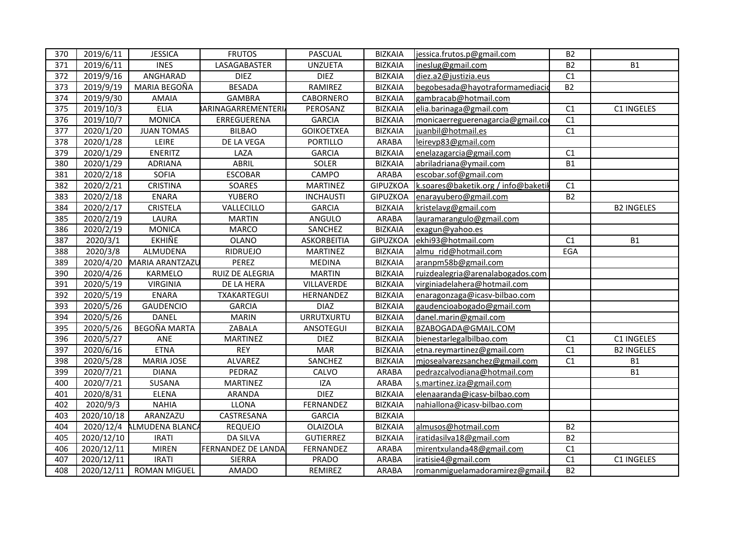| 370 | 2019/6/11             | <b>JESSICA</b>            | <b>FRUTOS</b>             | <b>PASCUAL</b>    | <b>BIZKAIA</b>  | jessica.frutos.p@gmail.com          | B2        |                   |
|-----|-----------------------|---------------------------|---------------------------|-------------------|-----------------|-------------------------------------|-----------|-------------------|
| 371 | 2019/6/11             | <b>INES</b>               | LASAGABASTER              | <b>UNZUETA</b>    | <b>BIZKAIA</b>  | ineslug@gmail.com                   | <b>B2</b> | <b>B1</b>         |
| 372 | 2019/9/16             | ANGHARAD                  | <b>DIEZ</b>               | <b>DIEZ</b>       | <b>BIZKAIA</b>  | diez.a2@justizia.eus                | C1        |                   |
| 373 | 2019/9/19             | MARIA BEGOÑA              | <b>BESADA</b>             | RAMIREZ           | <b>BIZKAIA</b>  | begobesada@hayotraformamediacio     | <b>B2</b> |                   |
| 374 | 2019/9/30             | <b>AMAIA</b>              | <b>GAMBRA</b>             | CABORNERO         | <b>BIZKAIA</b>  | gambracab@hotmail.com               |           |                   |
| 375 | 2019/10/3             | <b>ELIA</b>               | <b>BARINAGARREMENTERI</b> | PEROSANZ          | <b>BIZKAIA</b>  | elia.barinaga@gmail.com             | C1        | C1 INGELES        |
| 376 | 2019/10/7             | <b>MONICA</b>             | ERREGUERENA               | <b>GARCIA</b>     | <b>BIZKAIA</b>  | monicaerreguerenagarcia@gmail.co    | C1        |                   |
| 377 | 2020/1/20             | <b>JUAN TOMAS</b>         | <b>BILBAO</b>             | <b>GOIKOETXEA</b> | <b>BIZKAIA</b>  | juanbil@hotmail.es                  | C1        |                   |
| 378 | 2020/1/28             | LEIRE                     | DE LA VEGA                | <b>PORTILLO</b>   | ARABA           | leirevp83@gmail.com                 |           |                   |
| 379 | 2020/1/29             | ENERITZ                   | LAZA                      | <b>GARCIA</b>     | <b>BIZKAIA</b>  | enelazagarcia@gmail.com             | C1        |                   |
| 380 | 2020/1/29             | <b>ADRIANA</b>            | ABRIL                     | SOLER             | <b>BIZKAIA</b>  | abriladriana@ymail.com              | <b>B1</b> |                   |
| 381 | 2020/2/18             | SOFIA                     | <b>ESCOBAR</b>            | CAMPO             | ARABA           | escobar.sof@gmail.com               |           |                   |
| 382 | $\frac{1}{2020}{221}$ | <b>CRISTINA</b>           | SOARES                    | <b>MARTINEZ</b>   | <b>GIPUZKOA</b> | k.soares@baketik.org / info@baketil | C1        |                   |
| 383 | 2020/2/18             | <b>ENARA</b>              | YUBERO                    | <b>INCHAUSTI</b>  | <b>GIPUZKOA</b> | enarayubero@gmail.com               | <b>B2</b> |                   |
| 384 | 2020/2/17             | <b>CRISTELA</b>           | VALLECILLO                | <b>GARCIA</b>     | <b>BIZKAIA</b>  | kristelavg@gmail.com                |           | <b>B2 INGELES</b> |
| 385 | 2020/2/19             | LAURA                     | <b>MARTIN</b>             | ANGULO            | <b>ARABA</b>    | lauramarangulo@gmail.com            |           |                   |
| 386 | 2020/2/19             | <b>MONICA</b>             | <b>MARCO</b>              | SANCHEZ           | <b>BIZKAIA</b>  | exagun@yahoo.es                     |           |                   |
| 387 | 2020/3/1              | <b>EKHIÑE</b>             | <b>OLANO</b>              | ASKORBEITIA       | <b>GIPUZKOA</b> | ekhi93@hotmail.com                  | C1        | <b>B1</b>         |
| 388 | 2020/3/8              | ALMUDENA                  | RIDRUEJO                  | <b>MARTINEZ</b>   | <b>BIZKAIA</b>  | almu rid@hotmail.com                | EGA       |                   |
| 389 |                       | 2020/4/20 MARIA ARANTZAZU | PEREZ                     | <b>MEDINA</b>     | <b>BIZKAIA</b>  | aranpm58b@gmail.com                 |           |                   |
| 390 | 2020/4/26             | KARMELO                   | RUIZ DE ALEGRIA           | <b>MARTIN</b>     | <b>BIZKAIA</b>  | ruizdealegria@arenalabogados.com    |           |                   |
| 391 | 2020/5/19             | <b>VIRGINIA</b>           | DE LA HERA                | VILLAVERDE        | <b>BIZKAIA</b>  | virginiadelahera@hotmail.com        |           |                   |
| 392 | 2020/5/19             | <b>ENARA</b>              | TXAKARTEGUI               | HERNANDEZ         | <b>BIZKAIA</b>  | enaragonzaga@icasv-bilbao.com       |           |                   |
| 393 | 2020/5/26             | GAUDENCIO                 | <b>GARCIA</b>             | <b>DIAZ</b>       | <b>BIZKAIA</b>  | gaudencioabogado@gmail.com          |           |                   |
| 394 | 2020/5/26             | <b>DANEL</b>              | <b>MARIN</b>              | <b>URRUTXURTU</b> | <b>BIZKAIA</b>  | danel.marin@gmail.com               |           |                   |
| 395 | 2020/5/26             | BEGOÑA MARTA              | ZABALA                    | ANSOTEGUI         | <b>BIZKAIA</b>  | BZABOGADA@GMAIL.COM                 |           |                   |
| 396 | 2020/5/27             | ANE                       | MARTINEZ                  | <b>DIEZ</b>       | <b>BIZKAIA</b>  | bienestarlegalbilbao.com            | C1        | C1 INGELES        |
| 397 | 2020/6/16             | <b>ETNA</b>               | <b>REY</b>                | <b>MAR</b>        | <b>BIZKAIA</b>  | etna.reymartinez@gmail.com          | C1        | <b>B2 INGELES</b> |
| 398 | 2020/5/28             | MARIA JOSE                | ALVAREZ                   | SANCHEZ           | <b>BIZKAIA</b>  | mjosealvarezsanchez@gmail.com       | C1        | <b>B1</b>         |
| 399 | 2020/7/21             | <b>DIANA</b>              | PEDRAZ                    | CALVO             | ARABA           | pedrazcalvodiana@hotmail.com        |           | <b>B1</b>         |
| 400 | 2020/7/21             | SUSANA                    | <b>MARTINEZ</b>           | <b>IZA</b>        | ARABA           | s.martinez.iza@gmail.com            |           |                   |
| 401 | 2020/8/31             | <b>ELENA</b>              | ARANDA                    | <b>DIEZ</b>       | <b>BIZKAIA</b>  | elenaaranda@icasv-bilbao.com        |           |                   |
| 402 | 2020/9/3              | <b>NAHIA</b>              | <b>LLONA</b>              | FERNANDEZ         | <b>BIZKAIA</b>  | nahiallona@icasv-bilbao.com         |           |                   |
| 403 | 2020/10/18            | ARANZAZU                  | CASTRESANA                | <b>GARCIA</b>     | <b>BIZKAIA</b>  |                                     |           |                   |
| 404 |                       | 2020/12/4 ALMUDENA BLANCA | <b>REQUEJO</b>            | <b>OLAIZOLA</b>   | <b>BIZKAIA</b>  | almusos@hotmail.com                 | <b>B2</b> |                   |
| 405 | 2020/12/10            | <b>IRATI</b>              | <b>DA SILVA</b>           | <b>GUTIERREZ</b>  | <b>BIZKAIA</b>  | iratidasilva18@gmail.com            | <b>B2</b> |                   |
| 406 | 2020/12/11            | <b>MIREN</b>              | FERNANDEZ DE LANDA        | FERNANDEZ         | ARABA           | mirentxulanda48@gmail.com           | C1        |                   |
| 407 | 2020/12/11            | <b>IRATI</b>              | SIERRA                    | PRADO             | <b>ARABA</b>    | iratisie4@gmail.com                 | C1        | C1 INGELES        |
| 408 | 2020/12/11            | ROMAN MIGUEL              | <b>AMADO</b>              | REMIREZ           | ARABA           | romanmiguelamadoramirez@gmail.o     | <b>B2</b> |                   |